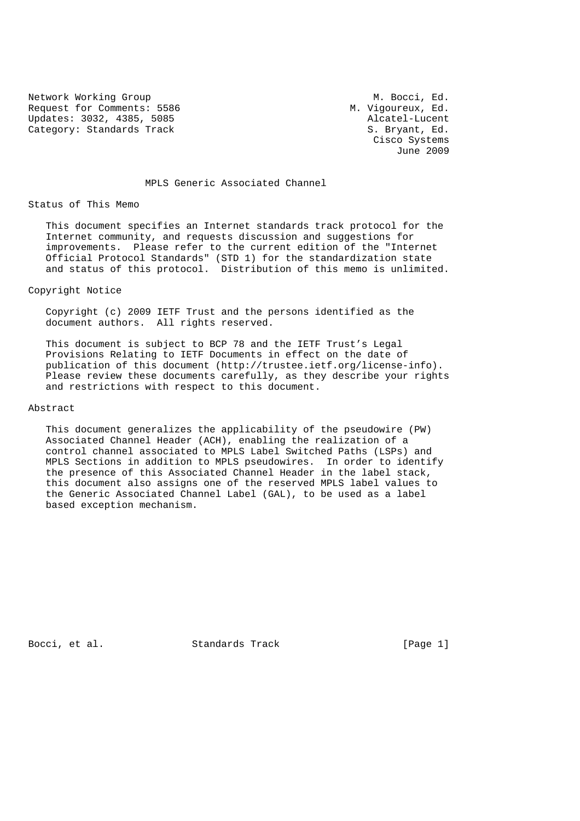Network Working Group M. Bocci, Ed. Request for Comments: 5586 M. Vigoureux, Ed. Updates: 3032, 4385, 5085 Alcatel-Lucent Category: Standards Track S. Bryant, Ed.

 Cisco Systems June 2009

## MPLS Generic Associated Channel

#### Status of This Memo

 This document specifies an Internet standards track protocol for the Internet community, and requests discussion and suggestions for improvements. Please refer to the current edition of the "Internet Official Protocol Standards" (STD 1) for the standardization state and status of this protocol. Distribution of this memo is unlimited.

#### Copyright Notice

 Copyright (c) 2009 IETF Trust and the persons identified as the document authors. All rights reserved.

 This document is subject to BCP 78 and the IETF Trust's Legal Provisions Relating to IETF Documents in effect on the date of publication of this document (http://trustee.ietf.org/license-info). Please review these documents carefully, as they describe your rights and restrictions with respect to this document.

#### Abstract

 This document generalizes the applicability of the pseudowire (PW) Associated Channel Header (ACH), enabling the realization of a control channel associated to MPLS Label Switched Paths (LSPs) and MPLS Sections in addition to MPLS pseudowires. In order to identify the presence of this Associated Channel Header in the label stack, this document also assigns one of the reserved MPLS label values to the Generic Associated Channel Label (GAL), to be used as a label based exception mechanism.

Bocci, et al. Standards Track [Page 1]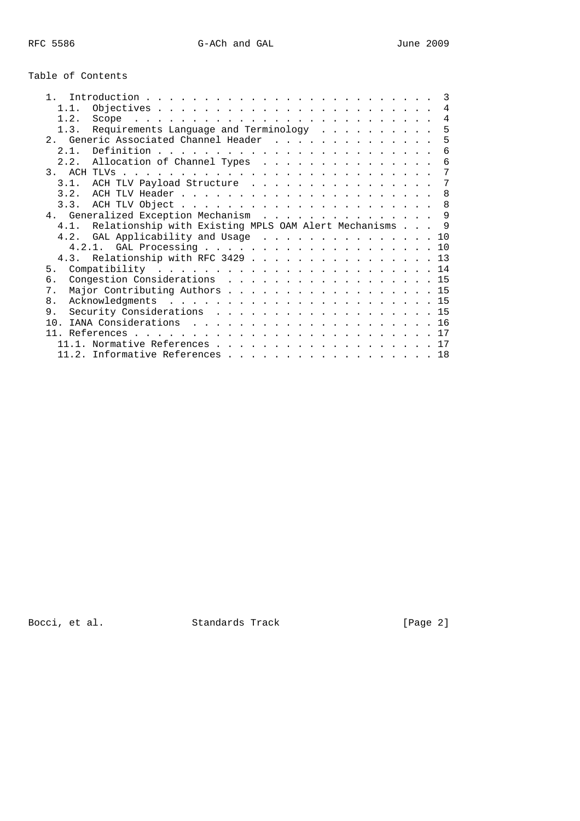# Table of Contents

| $\mathbf{1}$ |                                                             | $\mathcal{E}$  |
|--------------|-------------------------------------------------------------|----------------|
| 1.1.         |                                                             | $\overline{4}$ |
| 1.2.         |                                                             | $\overline{4}$ |
|              | 1.3. Requirements Language and Terminology                  | 5              |
|              | 2. Generic Associated Channel Header                        | 5              |
| 2.1.         |                                                             | 6              |
|              | 2.2. Allocation of Channel Types                            | 6              |
|              |                                                             | 7              |
|              | 3.1. ACH TLV Payload Structure                              | -7             |
|              |                                                             | 8              |
|              |                                                             |                |
|              | 4. Generalized Exception Mechanism 9                        |                |
|              | 4.1. Relationship with Existing MPLS OAM Alert Mechanisms 9 |                |
|              | 4.2. GAL Applicability and Usage  10                        |                |
|              |                                                             |                |
|              | 4.3. Relationship with RFC 3429 13                          |                |
| 5.           |                                                             |                |
| б.           | Congestion Considerations 15                                |                |
| 7.           | Major Contributing Authors 15                               |                |
| 8.           |                                                             |                |
| 9.           | Security Considerations 15                                  |                |
| 10.          |                                                             |                |
|              |                                                             |                |
|              | 11.1. Normative References 17                               |                |
|              | 11.2. Informative References 18                             |                |
|              |                                                             |                |

Bocci, et al. Standards Track [Page 2]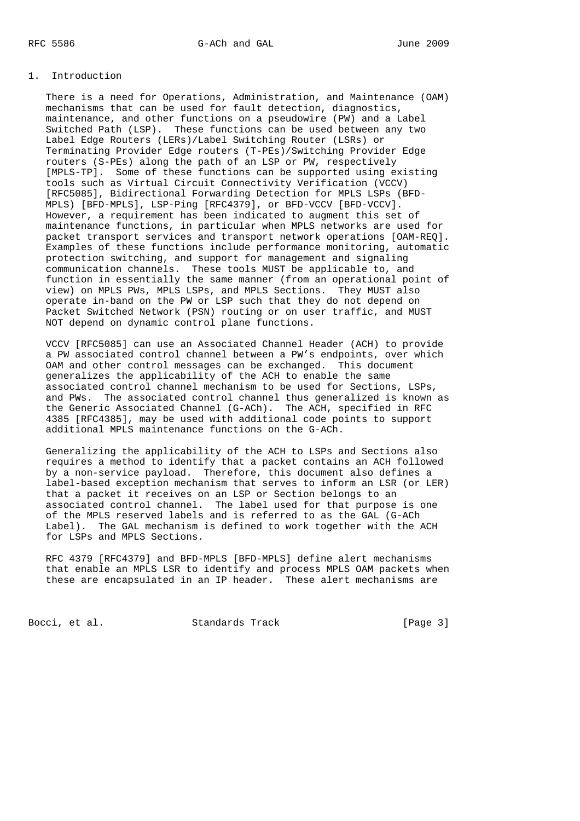## 1. Introduction

 There is a need for Operations, Administration, and Maintenance (OAM) mechanisms that can be used for fault detection, diagnostics, maintenance, and other functions on a pseudowire (PW) and a Label Switched Path (LSP). These functions can be used between any two Label Edge Routers (LERs)/Label Switching Router (LSRs) or Terminating Provider Edge routers (T-PEs)/Switching Provider Edge routers (S-PEs) along the path of an LSP or PW, respectively [MPLS-TP]. Some of these functions can be supported using existing tools such as Virtual Circuit Connectivity Verification (VCCV) [RFC5085], Bidirectional Forwarding Detection for MPLS LSPs (BFD- MPLS) [BFD-MPLS], LSP-Ping [RFC4379], or BFD-VCCV [BFD-VCCV]. However, a requirement has been indicated to augment this set of maintenance functions, in particular when MPLS networks are used for packet transport services and transport network operations [OAM-REQ]. Examples of these functions include performance monitoring, automatic protection switching, and support for management and signaling communication channels. These tools MUST be applicable to, and function in essentially the same manner (from an operational point of view) on MPLS PWs, MPLS LSPs, and MPLS Sections. They MUST also operate in-band on the PW or LSP such that they do not depend on Packet Switched Network (PSN) routing or on user traffic, and MUST NOT depend on dynamic control plane functions.

 VCCV [RFC5085] can use an Associated Channel Header (ACH) to provide a PW associated control channel between a PW's endpoints, over which OAM and other control messages can be exchanged. This document generalizes the applicability of the ACH to enable the same associated control channel mechanism to be used for Sections, LSPs, and PWs. The associated control channel thus generalized is known as the Generic Associated Channel (G-ACh). The ACH, specified in RFC 4385 [RFC4385], may be used with additional code points to support additional MPLS maintenance functions on the G-ACh.

 Generalizing the applicability of the ACH to LSPs and Sections also requires a method to identify that a packet contains an ACH followed by a non-service payload. Therefore, this document also defines a label-based exception mechanism that serves to inform an LSR (or LER) that a packet it receives on an LSP or Section belongs to an associated control channel. The label used for that purpose is one of the MPLS reserved labels and is referred to as the GAL (G-ACh Label). The GAL mechanism is defined to work together with the ACH for LSPs and MPLS Sections.

 RFC 4379 [RFC4379] and BFD-MPLS [BFD-MPLS] define alert mechanisms that enable an MPLS LSR to identify and process MPLS OAM packets when these are encapsulated in an IP header. These alert mechanisms are

Bocci, et al. Standards Track [Page 3]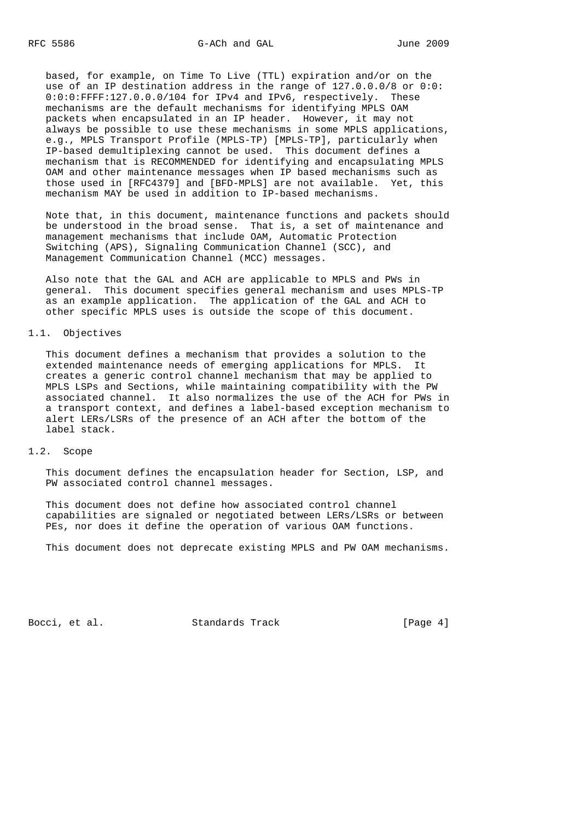based, for example, on Time To Live (TTL) expiration and/or on the use of an IP destination address in the range of 127.0.0.0/8 or 0:0: 0:0:0:FFFF:127.0.0.0/104 for IPv4 and IPv6, respectively. These mechanisms are the default mechanisms for identifying MPLS OAM packets when encapsulated in an IP header. However, it may not always be possible to use these mechanisms in some MPLS applications, e.g., MPLS Transport Profile (MPLS-TP) [MPLS-TP], particularly when IP-based demultiplexing cannot be used. This document defines a mechanism that is RECOMMENDED for identifying and encapsulating MPLS OAM and other maintenance messages when IP based mechanisms such as those used in [RFC4379] and [BFD-MPLS] are not available. Yet, this mechanism MAY be used in addition to IP-based mechanisms.

 Note that, in this document, maintenance functions and packets should be understood in the broad sense. That is, a set of maintenance and management mechanisms that include OAM, Automatic Protection Switching (APS), Signaling Communication Channel (SCC), and Management Communication Channel (MCC) messages.

 Also note that the GAL and ACH are applicable to MPLS and PWs in general. This document specifies general mechanism and uses MPLS-TP as an example application. The application of the GAL and ACH to other specific MPLS uses is outside the scope of this document.

#### 1.1. Objectives

 This document defines a mechanism that provides a solution to the extended maintenance needs of emerging applications for MPLS. It creates a generic control channel mechanism that may be applied to MPLS LSPs and Sections, while maintaining compatibility with the PW associated channel. It also normalizes the use of the ACH for PWs in a transport context, and defines a label-based exception mechanism to alert LERs/LSRs of the presence of an ACH after the bottom of the label stack.

# 1.2. Scope

 This document defines the encapsulation header for Section, LSP, and PW associated control channel messages.

 This document does not define how associated control channel capabilities are signaled or negotiated between LERs/LSRs or between PEs, nor does it define the operation of various OAM functions.

This document does not deprecate existing MPLS and PW OAM mechanisms.

Bocci, et al. Standards Track [Page 4]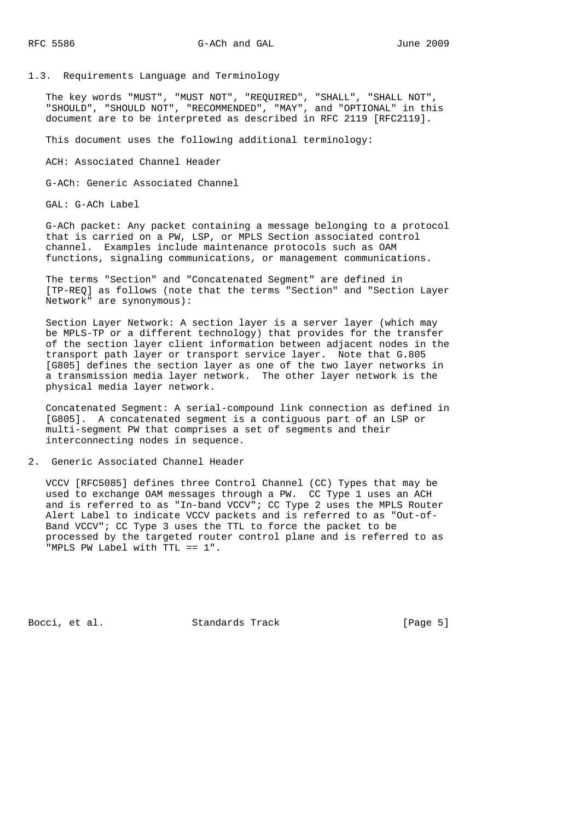1.3. Requirements Language and Terminology

 The key words "MUST", "MUST NOT", "REQUIRED", "SHALL", "SHALL NOT", "SHOULD", "SHOULD NOT", "RECOMMENDED", "MAY", and "OPTIONAL" in this document are to be interpreted as described in RFC 2119 [RFC2119].

This document uses the following additional terminology:

ACH: Associated Channel Header

G-ACh: Generic Associated Channel

GAL: G-ACh Label

 G-ACh packet: Any packet containing a message belonging to a protocol that is carried on a PW, LSP, or MPLS Section associated control channel. Examples include maintenance protocols such as OAM functions, signaling communications, or management communications.

 The terms "Section" and "Concatenated Segment" are defined in [TP-REQ] as follows (note that the terms "Section" and "Section Layer Network" are synonymous):

 Section Layer Network: A section layer is a server layer (which may be MPLS-TP or a different technology) that provides for the transfer of the section layer client information between adjacent nodes in the transport path layer or transport service layer. Note that G.805 [G805] defines the section layer as one of the two layer networks in a transmission media layer network. The other layer network is the physical media layer network.

 Concatenated Segment: A serial-compound link connection as defined in [G805]. A concatenated segment is a contiguous part of an LSP or multi-segment PW that comprises a set of segments and their interconnecting nodes in sequence.

2. Generic Associated Channel Header

 VCCV [RFC5085] defines three Control Channel (CC) Types that may be used to exchange OAM messages through a PW. CC Type 1 uses an ACH and is referred to as "In-band VCCV"; CC Type 2 uses the MPLS Router Alert Label to indicate VCCV packets and is referred to as "Out-of- Band VCCV"; CC Type 3 uses the TTL to force the packet to be processed by the targeted router control plane and is referred to as "MPLS PW Label with TTL == 1".

Bocci, et al. Standards Track [Page 5]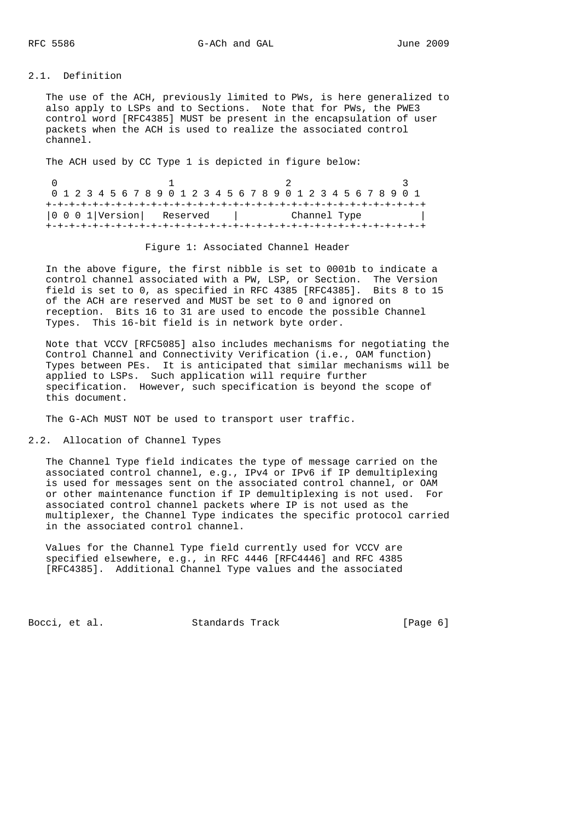# 2.1. Definition

 The use of the ACH, previously limited to PWs, is here generalized to also apply to LSPs and to Sections. Note that for PWs, the PWE3 control word [RFC4385] MUST be present in the encapsulation of user packets when the ACH is used to realize the associated control channel.

The ACH used by CC Type 1 is depicted in figure below:

|  |  |  |  |  |                              |  |  |  |  |  |              |  |  |  | 0 1 2 3 4 5 6 7 8 9 0 1 2 3 4 5 6 7 8 9 0 1 2 3 4 5 6 7 8 9 0 1 |  |
|--|--|--|--|--|------------------------------|--|--|--|--|--|--------------|--|--|--|-----------------------------------------------------------------|--|
|  |  |  |  |  |                              |  |  |  |  |  |              |  |  |  |                                                                 |  |
|  |  |  |  |  | $ 0 0 0 1 $ Version Reserved |  |  |  |  |  | Channel Type |  |  |  |                                                                 |  |
|  |  |  |  |  |                              |  |  |  |  |  |              |  |  |  |                                                                 |  |

#### Figure 1: Associated Channel Header

 In the above figure, the first nibble is set to 0001b to indicate a control channel associated with a PW, LSP, or Section. The Version field is set to 0, as specified in RFC 4385 [RFC4385]. Bits 8 to 15 of the ACH are reserved and MUST be set to 0 and ignored on reception. Bits 16 to 31 are used to encode the possible Channel Types. This 16-bit field is in network byte order.

 Note that VCCV [RFC5085] also includes mechanisms for negotiating the Control Channel and Connectivity Verification (i.e., OAM function) Types between PEs. It is anticipated that similar mechanisms will be applied to LSPs. Such application will require further specification. However, such specification is beyond the scope of this document.

The G-ACh MUST NOT be used to transport user traffic.

2.2. Allocation of Channel Types

 The Channel Type field indicates the type of message carried on the associated control channel, e.g., IPv4 or IPv6 if IP demultiplexing is used for messages sent on the associated control channel, or OAM or other maintenance function if IP demultiplexing is not used. For associated control channel packets where IP is not used as the multiplexer, the Channel Type indicates the specific protocol carried in the associated control channel.

 Values for the Channel Type field currently used for VCCV are specified elsewhere, e.g., in RFC 4446 [RFC4446] and RFC 4385 [RFC4385]. Additional Channel Type values and the associated

Bocci, et al. Standards Track [Page 6]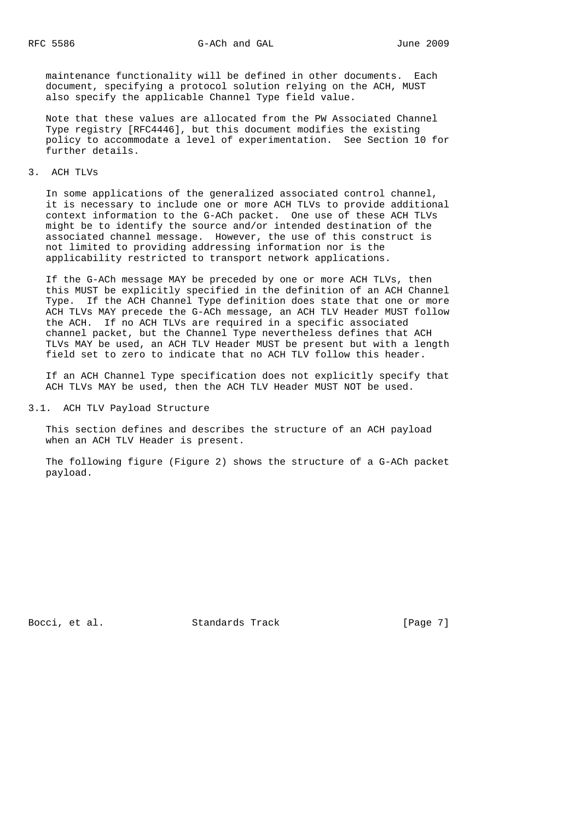maintenance functionality will be defined in other documents. Each document, specifying a protocol solution relying on the ACH, MUST also specify the applicable Channel Type field value.

 Note that these values are allocated from the PW Associated Channel Type registry [RFC4446], but this document modifies the existing policy to accommodate a level of experimentation. See Section 10 for further details.

3. ACH TLVs

 In some applications of the generalized associated control channel, it is necessary to include one or more ACH TLVs to provide additional context information to the G-ACh packet. One use of these ACH TLVs might be to identify the source and/or intended destination of the associated channel message. However, the use of this construct is not limited to providing addressing information nor is the applicability restricted to transport network applications.

 If the G-ACh message MAY be preceded by one or more ACH TLVs, then this MUST be explicitly specified in the definition of an ACH Channel Type. If the ACH Channel Type definition does state that one or more ACH TLVs MAY precede the G-ACh message, an ACH TLV Header MUST follow the ACH. If no ACH TLVs are required in a specific associated channel packet, but the Channel Type nevertheless defines that ACH TLVs MAY be used, an ACH TLV Header MUST be present but with a length field set to zero to indicate that no ACH TLV follow this header.

 If an ACH Channel Type specification does not explicitly specify that ACH TLVs MAY be used, then the ACH TLV Header MUST NOT be used.

3.1. ACH TLV Payload Structure

 This section defines and describes the structure of an ACH payload when an ACH TLV Header is present.

 The following figure (Figure 2) shows the structure of a G-ACh packet payload.

Bocci, et al. Standards Track [Page 7]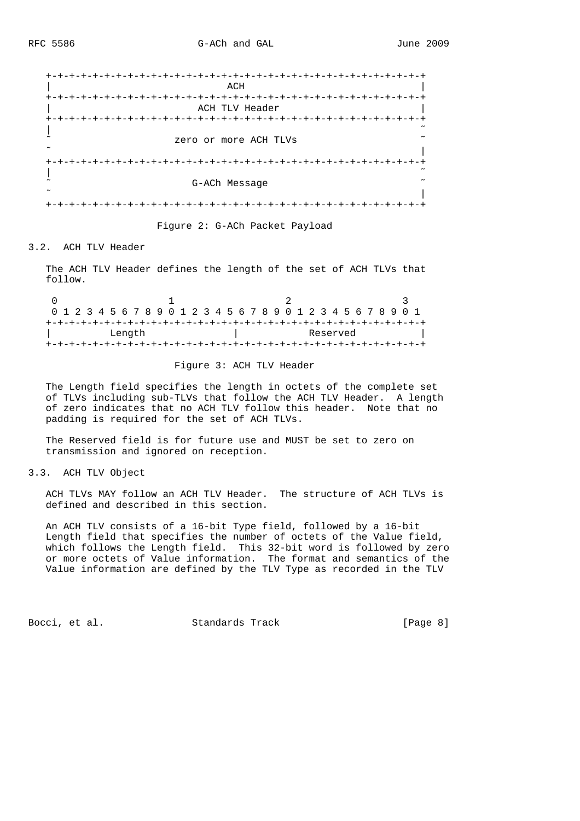

Figure 2: G-ACh Packet Payload

## 3.2. ACH TLV Header

 The ACH TLV Header defines the length of the set of ACH TLVs that follow.

|  |  |  |        |  |  |  |  |  |  |  |  |          |  |  | 0 1 2 3 4 5 6 7 8 9 0 1 2 3 4 5 6 7 8 9 0 1 2 3 4 5 6 7 8 9 0 1 |  |
|--|--|--|--------|--|--|--|--|--|--|--|--|----------|--|--|-----------------------------------------------------------------|--|
|  |  |  |        |  |  |  |  |  |  |  |  |          |  |  |                                                                 |  |
|  |  |  | Length |  |  |  |  |  |  |  |  | Reserved |  |  |                                                                 |  |
|  |  |  |        |  |  |  |  |  |  |  |  |          |  |  |                                                                 |  |

## Figure 3: ACH TLV Header

 The Length field specifies the length in octets of the complete set of TLVs including sub-TLVs that follow the ACH TLV Header. A length of zero indicates that no ACH TLV follow this header. Note that no padding is required for the set of ACH TLVs.

 The Reserved field is for future use and MUST be set to zero on transmission and ignored on reception.

## 3.3. ACH TLV Object

 ACH TLVs MAY follow an ACH TLV Header. The structure of ACH TLVs is defined and described in this section.

 An ACH TLV consists of a 16-bit Type field, followed by a 16-bit Length field that specifies the number of octets of the Value field, which follows the Length field. This 32-bit word is followed by zero or more octets of Value information. The format and semantics of the Value information are defined by the TLV Type as recorded in the TLV

Bocci, et al. Standards Track [Page 8]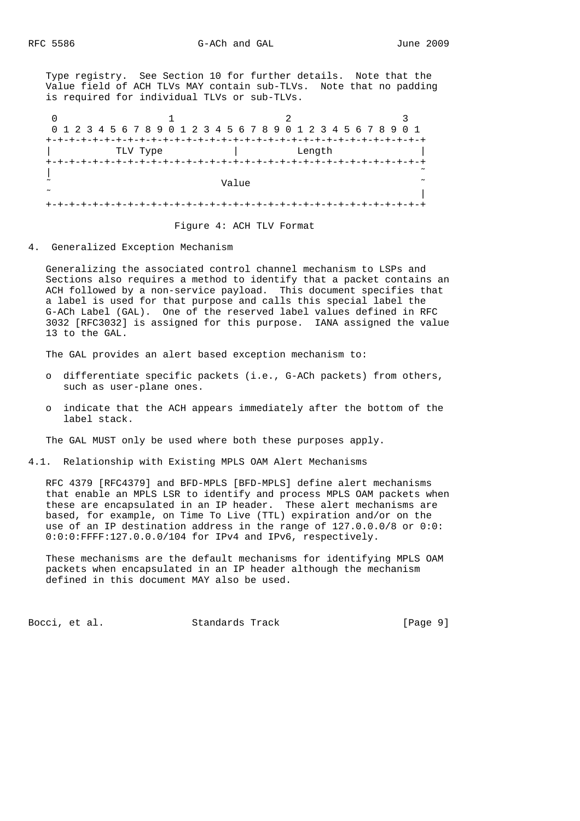Type registry. See Section 10 for further details. Note that the Value field of ACH TLVs MAY contain sub-TLVs. Note that no padding is required for individual TLVs or sub-TLVs.

0  $1$  2 3 0 1 2 3 4 5 6 7 8 9 0 1 2 3 4 5 6 7 8 9 0 1 2 3 4 5 6 7 8 9 0 1 +-+-+-+-+-+-+-+-+-+-+-+-+-+-+-+-+-+-+-+-+-+-+-+-+-+-+-+-+-+-+-+-+ TLV Type  $|$  Length +-+-+-+-+-+-+-+-+-+-+-+-+-+-+-+-+-+-+-+-+-+-+-+-+-+-+-+-+-+-+-+-+ | ˜ ˜ Value ˜ ˜ | +-+-+-+-+-+-+-+-+-+-+-+-+-+-+-+-+-+-+-+-+-+-+-+-+-+-+-+-+-+-+-+-+

Figure 4: ACH TLV Format

4. Generalized Exception Mechanism

 Generalizing the associated control channel mechanism to LSPs and Sections also requires a method to identify that a packet contains an ACH followed by a non-service payload. This document specifies that a label is used for that purpose and calls this special label the G-ACh Label (GAL). One of the reserved label values defined in RFC 3032 [RFC3032] is assigned for this purpose. IANA assigned the value 13 to the GAL.

The GAL provides an alert based exception mechanism to:

- o differentiate specific packets (i.e., G-ACh packets) from others, such as user-plane ones.
- o indicate that the ACH appears immediately after the bottom of the label stack.

The GAL MUST only be used where both these purposes apply.

#### 4.1. Relationship with Existing MPLS OAM Alert Mechanisms

 RFC 4379 [RFC4379] and BFD-MPLS [BFD-MPLS] define alert mechanisms that enable an MPLS LSR to identify and process MPLS OAM packets when these are encapsulated in an IP header. These alert mechanisms are based, for example, on Time To Live (TTL) expiration and/or on the use of an IP destination address in the range of 127.0.0.0/8 or 0:0: 0:0:0:FFFF:127.0.0.0/104 for IPv4 and IPv6, respectively.

 These mechanisms are the default mechanisms for identifying MPLS OAM packets when encapsulated in an IP header although the mechanism defined in this document MAY also be used.

Bocci, et al. Standards Track [Page 9]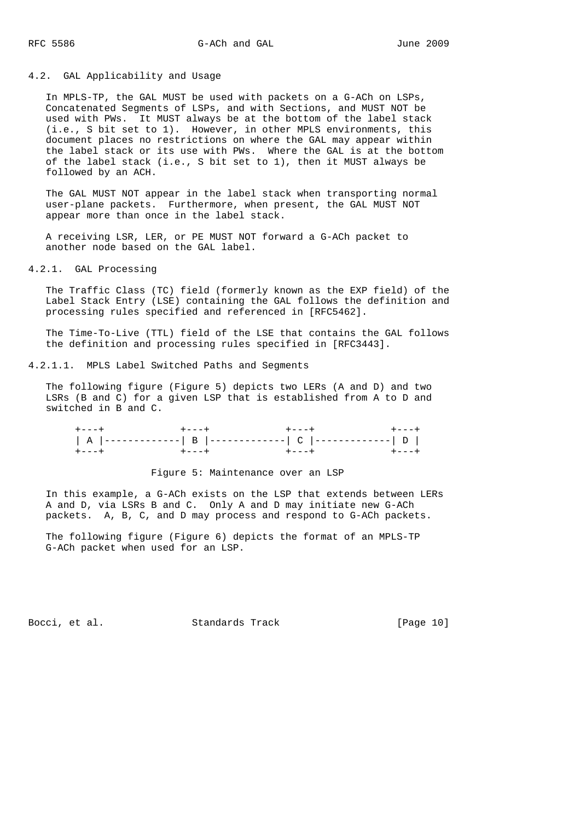#### 4.2. GAL Applicability and Usage

 In MPLS-TP, the GAL MUST be used with packets on a G-ACh on LSPs, Concatenated Segments of LSPs, and with Sections, and MUST NOT be used with PWs. It MUST always be at the bottom of the label stack (i.e., S bit set to 1). However, in other MPLS environments, this document places no restrictions on where the GAL may appear within the label stack or its use with PWs. Where the GAL is at the bottom of the label stack (i.e., S bit set to 1), then it MUST always be followed by an ACH.

 The GAL MUST NOT appear in the label stack when transporting normal user-plane packets. Furthermore, when present, the GAL MUST NOT appear more than once in the label stack.

 A receiving LSR, LER, or PE MUST NOT forward a G-ACh packet to another node based on the GAL label.

## 4.2.1. GAL Processing

 The Traffic Class (TC) field (formerly known as the EXP field) of the Label Stack Entry (LSE) containing the GAL follows the definition and processing rules specified and referenced in [RFC5462].

 The Time-To-Live (TTL) field of the LSE that contains the GAL follows the definition and processing rules specified in [RFC3443].

## 4.2.1.1. MPLS Label Switched Paths and Segments

 The following figure (Figure 5) depicts two LERs (A and D) and two LSRs (B and C) for a given LSP that is established from A to D and switched in B and C.

| $+ - - - +$ | $+ - - - +$ |  |
|-------------|-------------|--|

## Figure 5: Maintenance over an LSP

 In this example, a G-ACh exists on the LSP that extends between LERs A and D, via LSRs B and C. Only A and D may initiate new G-ACh packets. A, B, C, and D may process and respond to G-ACh packets.

 The following figure (Figure 6) depicts the format of an MPLS-TP G-ACh packet when used for an LSP.

Bocci, et al. Standards Track [Page 10]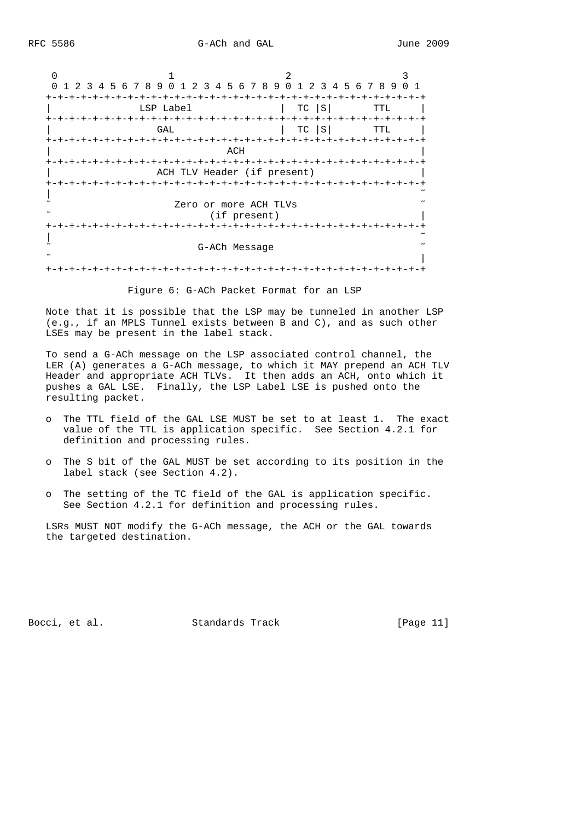0  $1$  2 3 0 1 2 3 4 5 6 7 8 9 0 1 2 3 4 5 6 7 8 9 0 1 2 3 4 5 6 7 8 9 0 1 +-+-+-+-+-+-+-+-+-+-+-+-+-+-+-+-+-+-+-+-+-+-+-+-+-+-+-+-+-+-+-+-+ LSP Label  $|$  TC  $|$ S| TTL | +-+-+-+-+-+-+-+-+-+-+-+-+-+-+-+-+-+-+-+-+-+-+-+-+-+-+-+-+-+-+-+-+  $GAL$  | TC  $|S|$  TTL +-+-+-+-+-+-+-+-+-+-+-+-+-+-+-+-+-+-+-+-+-+-+-+-+-+-+-+-+-+-+-+-+  $ACH$  +-+-+-+-+-+-+-+-+-+-+-+-+-+-+-+-+-+-+-+-+-+-+-+-+-+-+-+-+-+-+-+-+ ACH TLV Header (if present) +-+-+-+-+-+-+-+-+-+-+-+-+-+-+-+-+-+-+-+-+-+-+-+-+-+-+-+-+-+-+-+-+ | ˜ Zero or more ACH TLVs (if present) +-+-+-+-+-+-+-+-+-+-+-+-+-+-+-+-+-+-+-+-+-+-+-+-+-+-+-+-+-+-+-+-+ | ˜ G-ACh Message ˜ | +-+-+-+-+-+-+-+-+-+-+-+-+-+-+-+-+-+-+-+-+-+-+-+-+-+-+-+-+-+-+-+-+

Figure 6: G-ACh Packet Format for an LSP

 Note that it is possible that the LSP may be tunneled in another LSP (e.g., if an MPLS Tunnel exists between B and C), and as such other LSEs may be present in the label stack.

 To send a G-ACh message on the LSP associated control channel, the LER (A) generates a G-ACh message, to which it MAY prepend an ACH TLV Header and appropriate ACH TLVs. It then adds an ACH, onto which it pushes a GAL LSE. Finally, the LSP Label LSE is pushed onto the resulting packet.

- o The TTL field of the GAL LSE MUST be set to at least 1. The exact value of the TTL is application specific. See Section 4.2.1 for definition and processing rules.
- o The S bit of the GAL MUST be set according to its position in the label stack (see Section 4.2).
- o The setting of the TC field of the GAL is application specific. See Section 4.2.1 for definition and processing rules.

 LSRs MUST NOT modify the G-ACh message, the ACH or the GAL towards the targeted destination.

Bocci, et al. Standards Track [Page 11]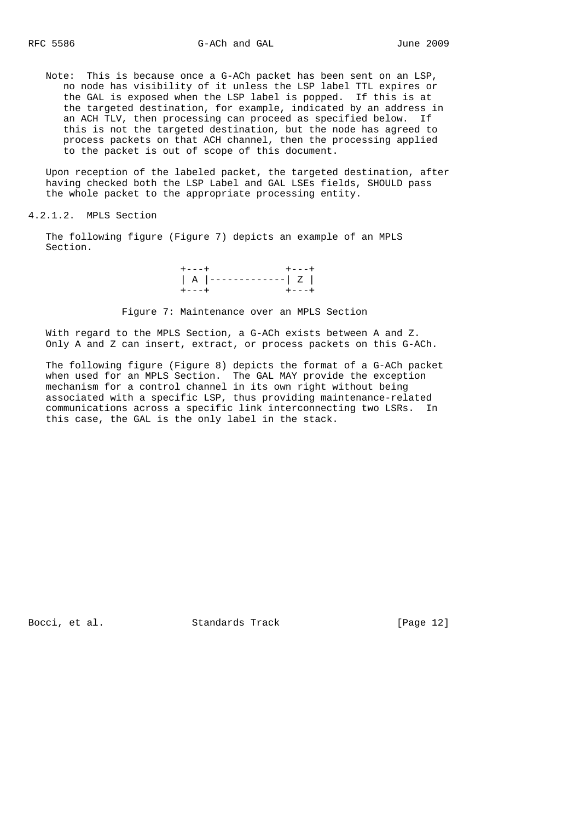Note: This is because once a G-ACh packet has been sent on an LSP, no node has visibility of it unless the LSP label TTL expires or the GAL is exposed when the LSP label is popped. If this is at the targeted destination, for example, indicated by an address in an ACH TLV, then processing can proceed as specified below. If this is not the targeted destination, but the node has agreed to process packets on that ACH channel, then the processing applied to the packet is out of scope of this document.

 Upon reception of the labeled packet, the targeted destination, after having checked both the LSP Label and GAL LSEs fields, SHOULD pass the whole packet to the appropriate processing entity.

## 4.2.1.2. MPLS Section

 The following figure (Figure 7) depicts an example of an MPLS Section.

 $+--++$   $+--++$  | A |-------------| Z | +---+ +---+

Figure 7: Maintenance over an MPLS Section

 With regard to the MPLS Section, a G-ACh exists between A and Z. Only A and Z can insert, extract, or process packets on this G-ACh.

 The following figure (Figure 8) depicts the format of a G-ACh packet when used for an MPLS Section. The GAL MAY provide the exception mechanism for a control channel in its own right without being associated with a specific LSP, thus providing maintenance-related communications across a specific link interconnecting two LSRs. In this case, the GAL is the only label in the stack.

Bocci, et al. Standards Track [Page 12]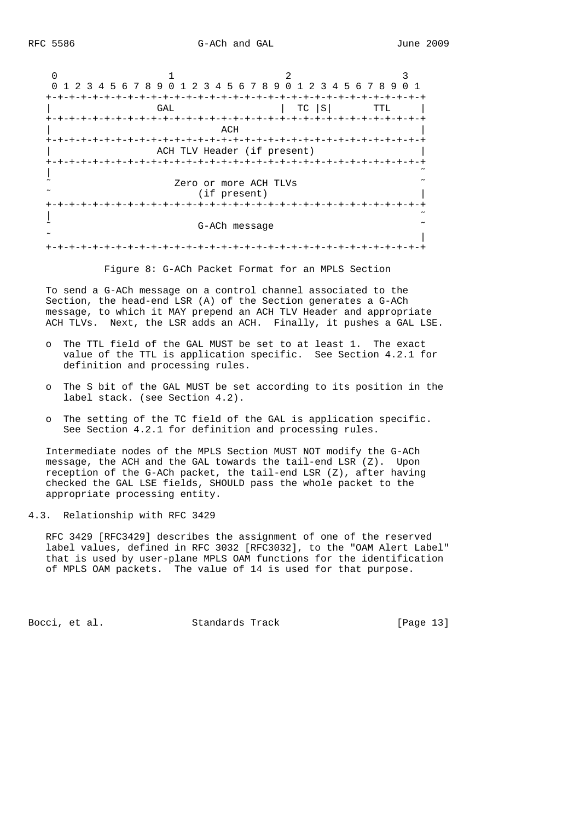0  $1$  2 3 0 1 2 3 4 5 6 7 8 9 0 1 2 3 4 5 6 7 8 9 0 1 2 3 4 5 6 7 8 9 0 1 +-+-+-+-+-+-+-+-+-+-+-+-+-+-+-+-+-+-+-+-+-+-+-+-+-+-+-+-+-+-+-+-+  $GAL$   $|TC |S|$   $TTL$   $|$  +-+-+-+-+-+-+-+-+-+-+-+-+-+-+-+-+-+-+-+-+-+-+-+-+-+-+-+-+-+-+-+-+ | ACH | ACH | ACH | ACH | ACH | ACH | ACH | ACH | ACH | ACH | ACH | ACH | ACH | ACH | ACH | ACH | ACH | ACH | A +-+-+-+-+-+-+-+-+-+-+-+-+-+-+-+-+-+-+-+-+-+-+-+-+-+-+-+-+-+-+-+-+ ACH TLV Header (if present) +-+-+-+-+-+-+-+-+-+-+-+-+-+-+-+-+-+-+-+-+-+-+-+-+-+-+-+-+-+-+-+-+ | ˜ Zero or more ACH TLVs (if present) +-+-+-+-+-+-+-+-+-+-+-+-+-+-+-+-+-+-+-+-+-+-+-+-+-+-+-+-+-+-+-+-+ | ˜ ˜ G-ACh message ˜ ˜ | +-+-+-+-+-+-+-+-+-+-+-+-+-+-+-+-+-+-+-+-+-+-+-+-+-+-+-+-+-+-+-+-+

Figure 8: G-ACh Packet Format for an MPLS Section

 To send a G-ACh message on a control channel associated to the Section, the head-end LSR (A) of the Section generates a G-ACh message, to which it MAY prepend an ACH TLV Header and appropriate ACH TLVs. Next, the LSR adds an ACH. Finally, it pushes a GAL LSE.

- o The TTL field of the GAL MUST be set to at least 1. The exact value of the TTL is application specific. See Section 4.2.1 for definition and processing rules.
- o The S bit of the GAL MUST be set according to its position in the label stack. (see Section 4.2).
- o The setting of the TC field of the GAL is application specific. See Section 4.2.1 for definition and processing rules.

 Intermediate nodes of the MPLS Section MUST NOT modify the G-ACh message, the ACH and the GAL towards the tail-end LSR (Z). Upon reception of the G-ACh packet, the tail-end LSR (Z), after having checked the GAL LSE fields, SHOULD pass the whole packet to the appropriate processing entity.

4.3. Relationship with RFC 3429

 RFC 3429 [RFC3429] describes the assignment of one of the reserved label values, defined in RFC 3032 [RFC3032], to the "OAM Alert Label" that is used by user-plane MPLS OAM functions for the identification of MPLS OAM packets. The value of 14 is used for that purpose.

Bocci, et al. Standards Track [Page 13]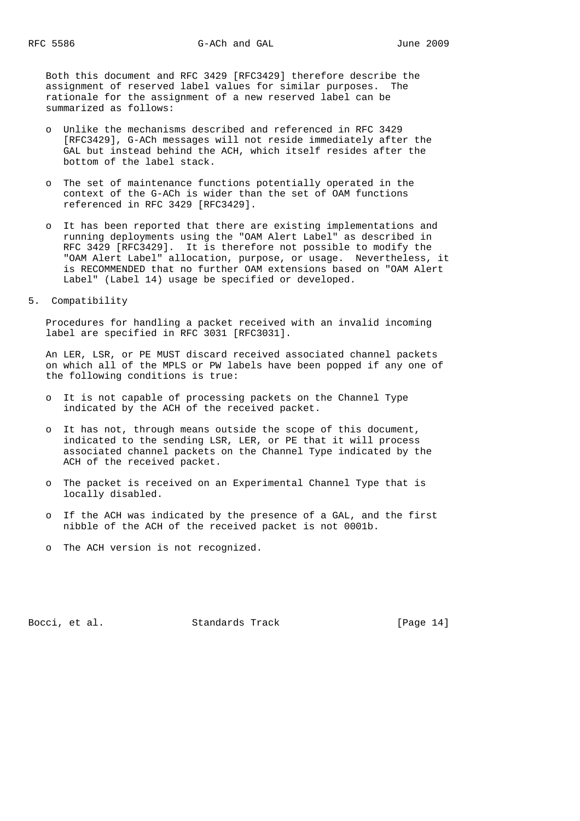Both this document and RFC 3429 [RFC3429] therefore describe the assignment of reserved label values for similar purposes. The rationale for the assignment of a new reserved label can be summarized as follows:

- o Unlike the mechanisms described and referenced in RFC 3429 [RFC3429], G-ACh messages will not reside immediately after the GAL but instead behind the ACH, which itself resides after the bottom of the label stack.
- o The set of maintenance functions potentially operated in the context of the G-ACh is wider than the set of OAM functions referenced in RFC 3429 [RFC3429].
- o It has been reported that there are existing implementations and running deployments using the "OAM Alert Label" as described in RFC 3429 [RFC3429]. It is therefore not possible to modify the "OAM Alert Label" allocation, purpose, or usage. Nevertheless, it is RECOMMENDED that no further OAM extensions based on "OAM Alert Label" (Label 14) usage be specified or developed.
- 5. Compatibility

 Procedures for handling a packet received with an invalid incoming label are specified in RFC 3031 [RFC3031].

 An LER, LSR, or PE MUST discard received associated channel packets on which all of the MPLS or PW labels have been popped if any one of the following conditions is true:

- o It is not capable of processing packets on the Channel Type indicated by the ACH of the received packet.
- o It has not, through means outside the scope of this document, indicated to the sending LSR, LER, or PE that it will process associated channel packets on the Channel Type indicated by the ACH of the received packet.
- o The packet is received on an Experimental Channel Type that is locally disabled.
- o If the ACH was indicated by the presence of a GAL, and the first nibble of the ACH of the received packet is not 0001b.
- o The ACH version is not recognized.

Bocci, et al. Standards Track [Page 14]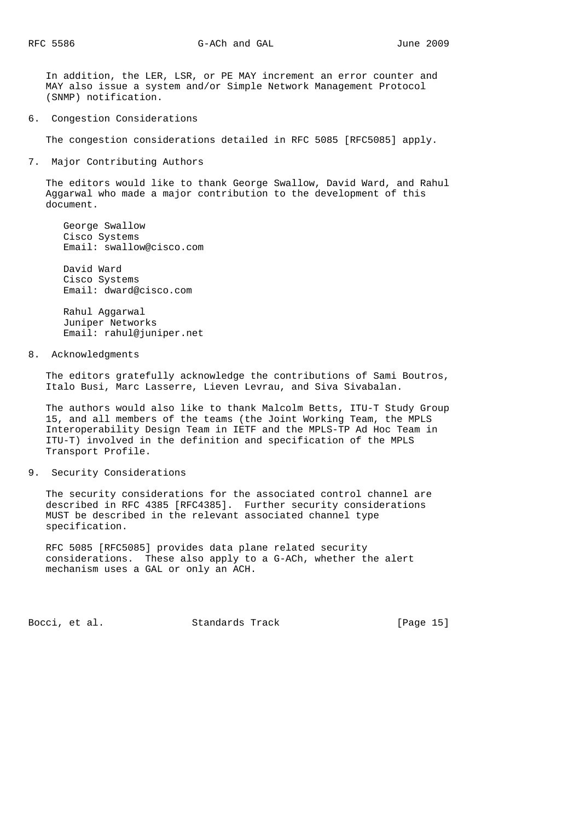In addition, the LER, LSR, or PE MAY increment an error counter and MAY also issue a system and/or Simple Network Management Protocol (SNMP) notification.

6. Congestion Considerations

The congestion considerations detailed in RFC 5085 [RFC5085] apply.

7. Major Contributing Authors

 The editors would like to thank George Swallow, David Ward, and Rahul Aggarwal who made a major contribution to the development of this document.

 George Swallow Cisco Systems Email: swallow@cisco.com

 David Ward Cisco Systems Email: dward@cisco.com

 Rahul Aggarwal Juniper Networks Email: rahul@juniper.net

8. Acknowledgments

 The editors gratefully acknowledge the contributions of Sami Boutros, Italo Busi, Marc Lasserre, Lieven Levrau, and Siva Sivabalan.

 The authors would also like to thank Malcolm Betts, ITU-T Study Group 15, and all members of the teams (the Joint Working Team, the MPLS Interoperability Design Team in IETF and the MPLS-TP Ad Hoc Team in ITU-T) involved in the definition and specification of the MPLS Transport Profile.

9. Security Considerations

 The security considerations for the associated control channel are described in RFC 4385 [RFC4385]. Further security considerations MUST be described in the relevant associated channel type specification.

 RFC 5085 [RFC5085] provides data plane related security considerations. These also apply to a G-ACh, whether the alert mechanism uses a GAL or only an ACH.

Bocci, et al. Standards Track [Page 15]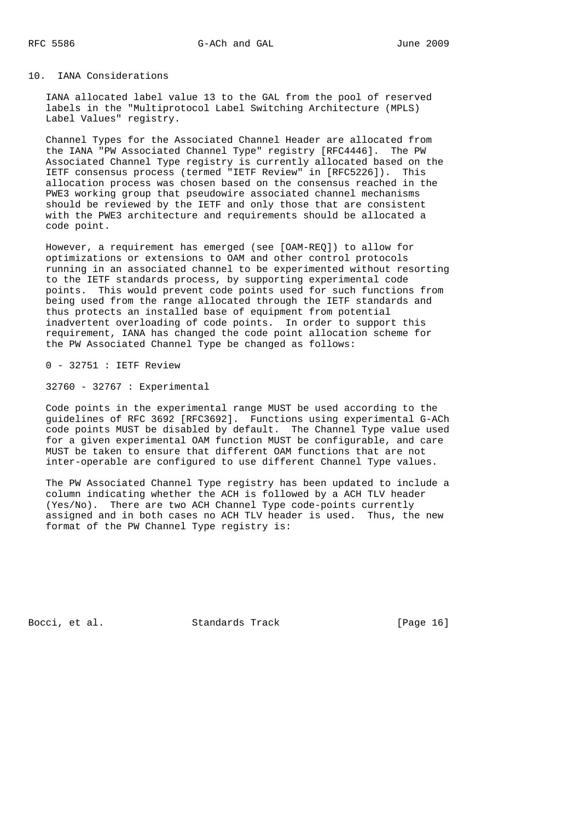## 10. IANA Considerations

 IANA allocated label value 13 to the GAL from the pool of reserved labels in the "Multiprotocol Label Switching Architecture (MPLS) Label Values" registry.

 Channel Types for the Associated Channel Header are allocated from the IANA "PW Associated Channel Type" registry [RFC4446]. The PW Associated Channel Type registry is currently allocated based on the IETF consensus process (termed "IETF Review" in [RFC5226]). This allocation process was chosen based on the consensus reached in the PWE3 working group that pseudowire associated channel mechanisms should be reviewed by the IETF and only those that are consistent with the PWE3 architecture and requirements should be allocated a code point.

 However, a requirement has emerged (see [OAM-REQ]) to allow for optimizations or extensions to OAM and other control protocols running in an associated channel to be experimented without resorting to the IETF standards process, by supporting experimental code points. This would prevent code points used for such functions from being used from the range allocated through the IETF standards and thus protects an installed base of equipment from potential inadvertent overloading of code points. In order to support this requirement, IANA has changed the code point allocation scheme for the PW Associated Channel Type be changed as follows:

0 - 32751 : IETF Review

32760 - 32767 : Experimental

 Code points in the experimental range MUST be used according to the guidelines of RFC 3692 [RFC3692]. Functions using experimental G-ACh code points MUST be disabled by default. The Channel Type value used for a given experimental OAM function MUST be configurable, and care MUST be taken to ensure that different OAM functions that are not inter-operable are configured to use different Channel Type values.

 The PW Associated Channel Type registry has been updated to include a column indicating whether the ACH is followed by a ACH TLV header (Yes/No). There are two ACH Channel Type code-points currently assigned and in both cases no ACH TLV header is used. Thus, the new format of the PW Channel Type registry is:

Bocci, et al. Standards Track [Page 16]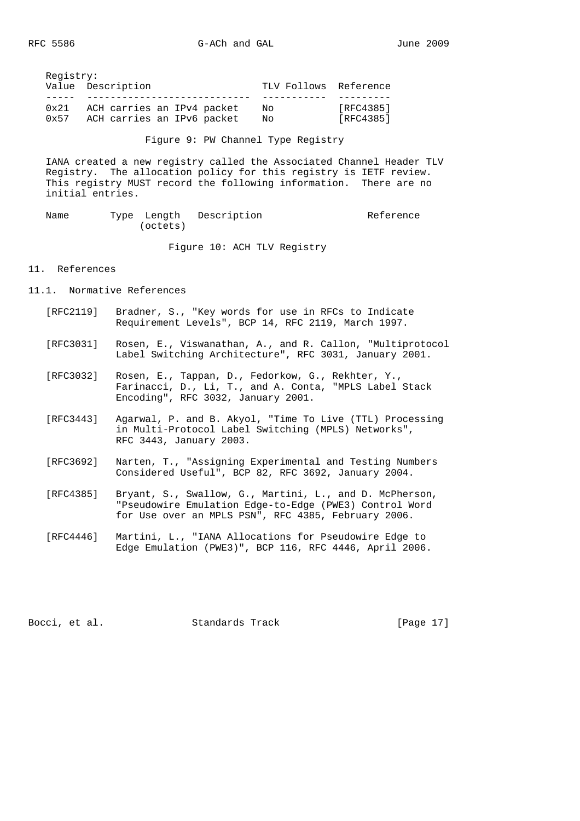Registry: Value Description TLV Follows Reference ----- ---------------------------- ----------- --------- 0x21 ACH carries an IPv4 packet No [RFC4385] 0x57 ACH carries an IPv6 packet No [RFC4385]

Figure 9: PW Channel Type Registry

 IANA created a new registry called the Associated Channel Header TLV Registry. The allocation policy for this registry is IETF review. This registry MUST record the following information. There are no initial entries.

Name Type Length Description and Reference (octets)

Figure 10: ACH TLV Registry

## 11. References

- 11.1. Normative References
	- [RFC2119] Bradner, S., "Key words for use in RFCs to Indicate Requirement Levels", BCP 14, RFC 2119, March 1997.
	- [RFC3031] Rosen, E., Viswanathan, A., and R. Callon, "Multiprotocol Label Switching Architecture", RFC 3031, January 2001.
	- [RFC3032] Rosen, E., Tappan, D., Fedorkow, G., Rekhter, Y., Farinacci, D., Li, T., and A. Conta, "MPLS Label Stack Encoding", RFC 3032, January 2001.
	- [RFC3443] Agarwal, P. and B. Akyol, "Time To Live (TTL) Processing in Multi-Protocol Label Switching (MPLS) Networks", RFC 3443, January 2003.
	- [RFC3692] Narten, T., "Assigning Experimental and Testing Numbers Considered Useful", BCP 82, RFC 3692, January 2004.
	- [RFC4385] Bryant, S., Swallow, G., Martini, L., and D. McPherson, "Pseudowire Emulation Edge-to-Edge (PWE3) Control Word for Use over an MPLS PSN", RFC 4385, February 2006.
	- [RFC4446] Martini, L., "IANA Allocations for Pseudowire Edge to Edge Emulation (PWE3)", BCP 116, RFC 4446, April 2006.

Bocci, et al. Standards Track [Page 17]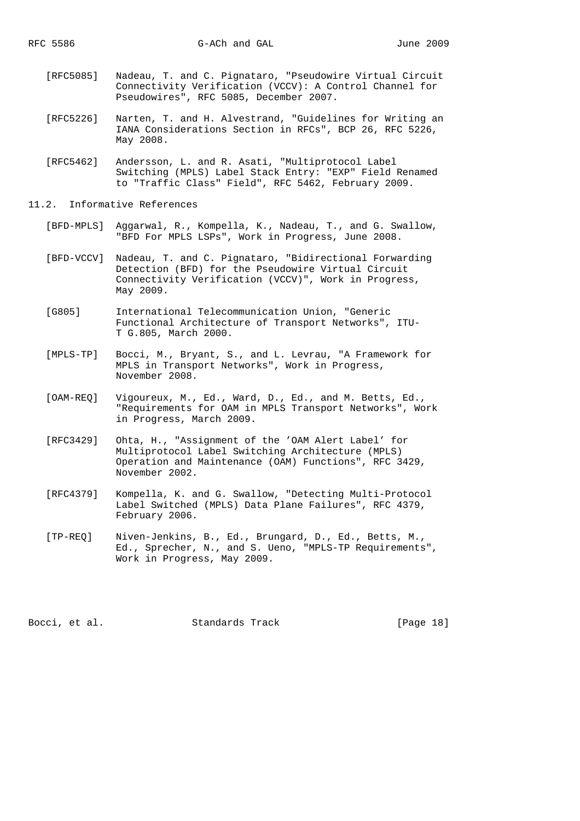- [RFC5085] Nadeau, T. and C. Pignataro, "Pseudowire Virtual Circuit Connectivity Verification (VCCV): A Control Channel for Pseudowires", RFC 5085, December 2007.
- [RFC5226] Narten, T. and H. Alvestrand, "Guidelines for Writing an IANA Considerations Section in RFCs", BCP 26, RFC 5226, May 2008.
- [RFC5462] Andersson, L. and R. Asati, "Multiprotocol Label Switching (MPLS) Label Stack Entry: "EXP" Field Renamed to "Traffic Class" Field", RFC 5462, February 2009.
- 11.2. Informative References
	- [BFD-MPLS] Aggarwal, R., Kompella, K., Nadeau, T., and G. Swallow, "BFD For MPLS LSPs", Work in Progress, June 2008.
	- [BFD-VCCV] Nadeau, T. and C. Pignataro, "Bidirectional Forwarding Detection (BFD) for the Pseudowire Virtual Circuit Connectivity Verification (VCCV)", Work in Progress, May 2009.
	- [G805] International Telecommunication Union, "Generic Functional Architecture of Transport Networks", ITU- T G.805, March 2000.
	- [MPLS-TP] Bocci, M., Bryant, S., and L. Levrau, "A Framework for MPLS in Transport Networks", Work in Progress, November 2008.
	- [OAM-REQ] Vigoureux, M., Ed., Ward, D., Ed., and M. Betts, Ed., "Requirements for OAM in MPLS Transport Networks", Work in Progress, March 2009.
	- [RFC3429] Ohta, H., "Assignment of the 'OAM Alert Label' for Multiprotocol Label Switching Architecture (MPLS) Operation and Maintenance (OAM) Functions", RFC 3429, November 2002.
	- [RFC4379] Kompella, K. and G. Swallow, "Detecting Multi-Protocol Label Switched (MPLS) Data Plane Failures", RFC 4379, February 2006.
	- [TP-REQ] Niven-Jenkins, B., Ed., Brungard, D., Ed., Betts, M., Ed., Sprecher, N., and S. Ueno, "MPLS-TP Requirements", Work in Progress, May 2009.

Bocci, et al. Standards Track [Page 18]